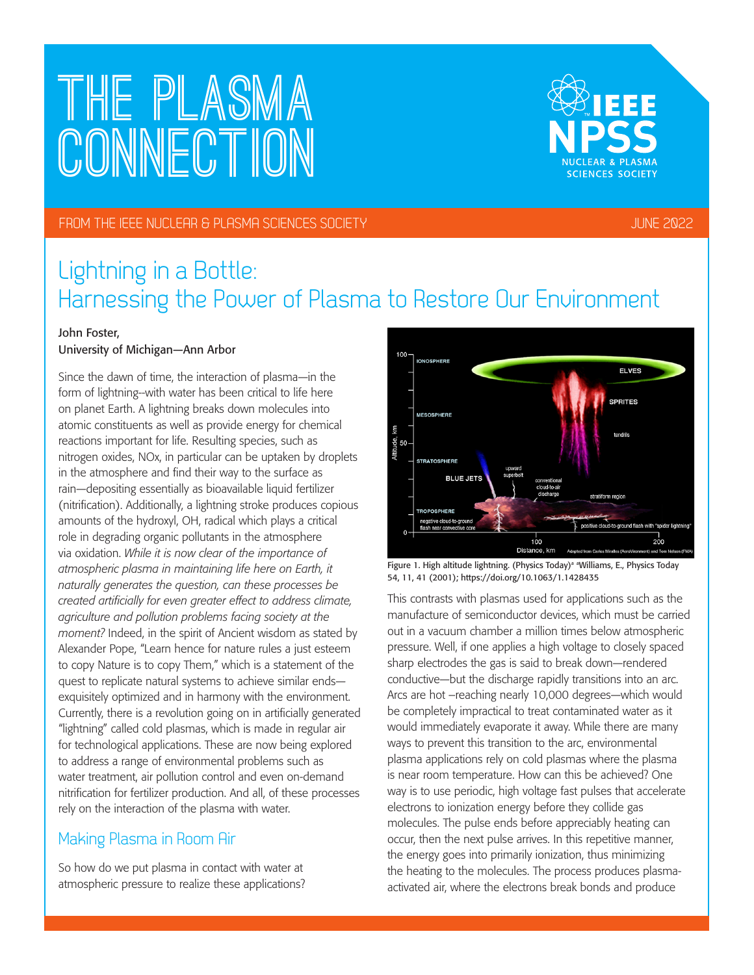# **The PLASMA CONNECTION**



### FROM THE IEEE NUCLEAR & PLASMA SCIENCES SOCIETY JUNE 2022

### Lightning in a Bottle: Harnessing the Power of Plasma to Restore Our Environment

### John Foster,

### University of Michigan—Ann Arbor

Since the dawn of time, the interaction of plasma—in the form of lightning--with water has been critical to life here on planet Earth. A lightning breaks down molecules into atomic constituents as well as provide energy for chemical reactions important for life. Resulting species, such as nitrogen oxides, NOx, in particular can be uptaken by droplets in the atmosphere and find their way to the surface as rain—depositing essentially as bioavailable liquid fertilizer (nitrification). Additionally, a lightning stroke produces copious amounts of the hydroxyl, OH, radical which plays a critical role in degrading organic pollutants in the atmosphere via oxidation. *While it is now clear of the importance of atmospheric plasma in maintaining life here on Earth, it naturally generates the question, can these processes be created artificially for even greater effect to address climate, agriculture and pollution problems facing society at the moment?* Indeed, in the spirit of Ancient wisdom as stated by Alexander Pope, "Learn hence for nature rules a just esteem to copy Nature is to copy Them," which is a statement of the quest to replicate natural systems to achieve similar ends exquisitely optimized and in harmony with the environment. Currently, there is a revolution going on in artificially generated "lightning" called cold plasmas, which is made in regular air for technological applications. These are now being explored to address a range of environmental problems such as water treatment, air pollution control and even on-demand nitrification for fertilizer production. And all, of these processes rely on the interaction of the plasma with water.

### Making Plasma in Room Air

So how do we put plasma in contact with water at atmospheric pressure to realize these applications?



Figure 1. High altitude lightning. (Physics Today)<sup>a a</sup>Williams, E., Physics Today 54, 11, 41 (2001); https://doi.org/10.1063/1.1428435

This contrasts with plasmas used for applications such as the manufacture of semiconductor devices, which must be carried out in a vacuum chamber a million times below atmospheric pressure. Well, if one applies a high voltage to closely spaced sharp electrodes the gas is said to break down—rendered conductive—but the discharge rapidly transitions into an arc. Arcs are hot –reaching nearly 10,000 degrees—which would be completely impractical to treat contaminated water as it would immediately evaporate it away. While there are many ways to prevent this transition to the arc, environmental plasma applications rely on cold plasmas where the plasma is near room temperature. How can this be achieved? One way is to use periodic, high voltage fast pulses that accelerate electrons to ionization energy before they collide gas molecules. The pulse ends before appreciably heating can occur, then the next pulse arrives. In this repetitive manner, the energy goes into primarily ionization, thus minimizing the heating to the molecules. The process produces plasmaactivated air, where the electrons break bonds and produce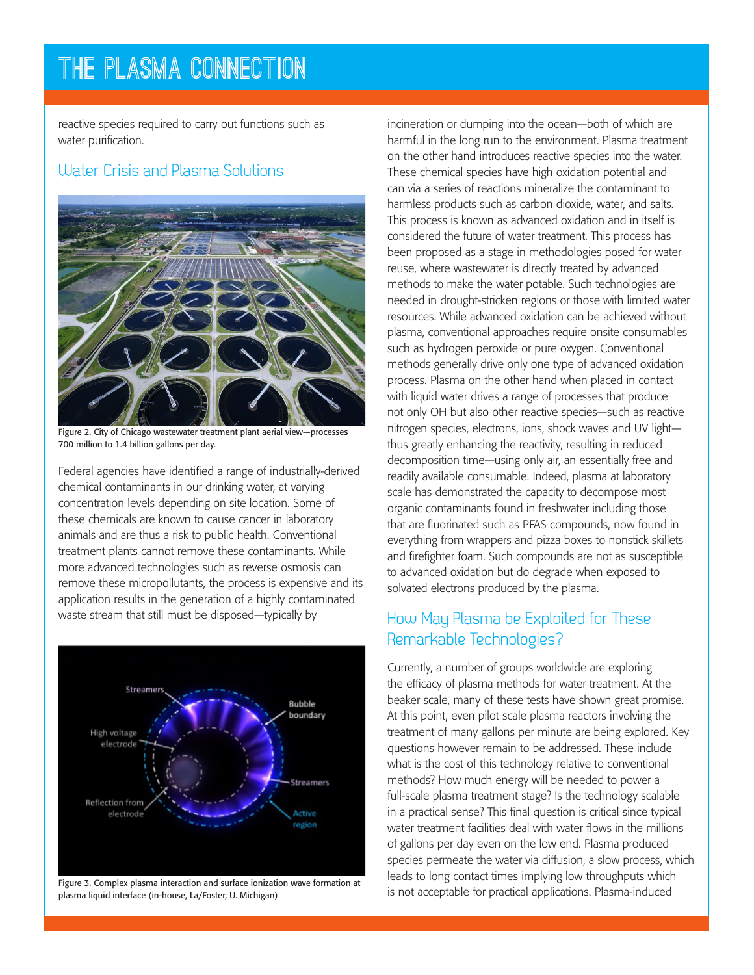### **The PLASMA CONNECTION**

reactive species required to carry out functions such as water purification.

### Water Crisis and Plasma Solutions



Figure 2. City of Chicago wastewater treatment plant aerial view—processes 700 million to 1.4 billion gallons per day.

Federal agencies have identified a range of industrially-derived chemical contaminants in our drinking water, at varying concentration levels depending on site location. Some of these chemicals are known to cause cancer in laboratory animals and are thus a risk to public health. Conventional treatment plants cannot remove these contaminants. While more advanced technologies such as reverse osmosis can remove these micropollutants, the process is expensive and its application results in the generation of a highly contaminated waste stream that still must be disposed—typically by



Figure 3. Complex plasma interaction and surface ionization wave formation at plasma liquid interface (in-house, La/Foster, U. Michigan)

incineration or dumping into the ocean—both of which are harmful in the long run to the environment. Plasma treatment on the other hand introduces reactive species into the water. These chemical species have high oxidation potential and can via a series of reactions mineralize the contaminant to harmless products such as carbon dioxide, water, and salts. This process is known as advanced oxidation and in itself is considered the future of water treatment. This process has been proposed as a stage in methodologies posed for water reuse, where wastewater is directly treated by advanced methods to make the water potable. Such technologies are needed in drought-stricken regions or those with limited water resources. While advanced oxidation can be achieved without plasma, conventional approaches require onsite consumables such as hydrogen peroxide or pure oxygen. Conventional methods generally drive only one type of advanced oxidation process. Plasma on the other hand when placed in contact with liquid water drives a range of processes that produce not only OH but also other reactive species—such as reactive nitrogen species, electrons, ions, shock waves and UV light thus greatly enhancing the reactivity, resulting in reduced decomposition time—using only air, an essentially free and readily available consumable. Indeed, plasma at laboratory scale has demonstrated the capacity to decompose most organic contaminants found in freshwater including those that are fluorinated such as PFAS compounds, now found in everything from wrappers and pizza boxes to nonstick skillets and firefighter foam. Such compounds are not as susceptible to advanced oxidation but do degrade when exposed to solvated electrons produced by the plasma.

### How May Plasma be Exploited for These Remarkable Technologies?

Currently, a number of groups worldwide are exploring the efficacy of plasma methods for water treatment. At the beaker scale, many of these tests have shown great promise. At this point, even pilot scale plasma reactors involving the treatment of many gallons per minute are being explored. Key questions however remain to be addressed. These include what is the cost of this technology relative to conventional methods? How much energy will be needed to power a full-scale plasma treatment stage? Is the technology scalable in a practical sense? This final question is critical since typical water treatment facilities deal with water flows in the millions of gallons per day even on the low end. Plasma produced species permeate the water via diffusion, a slow process, which leads to long contact times implying low throughputs which is not acceptable for practical applications. Plasma-induced